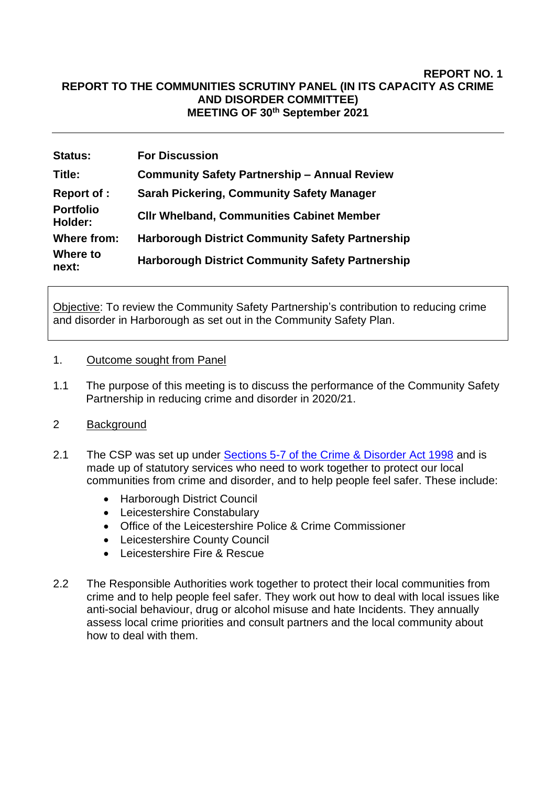#### **REPORT NO. 1 REPORT TO THE COMMUNITIES SCRUTINY PANEL (IN ITS CAPACITY AS CRIME AND DISORDER COMMITTEE) MEETING OF 30th September 2021**

| <b>Status:</b>              | <b>For Discussion</b>                                   |
|-----------------------------|---------------------------------------------------------|
| Title:                      | <b>Community Safety Partnership - Annual Review</b>     |
| <b>Report of :</b>          | <b>Sarah Pickering, Community Safety Manager</b>        |
| <b>Portfolio</b><br>Holder: | <b>CIIr Whelband, Communities Cabinet Member</b>        |
| Where from:                 | <b>Harborough District Community Safety Partnership</b> |
| Where to<br>next:           | <b>Harborough District Community Safety Partnership</b> |

Objective: To review the Community Safety Partnership's contribution to reducing crime and disorder in Harborough as set out in the Community Safety Plan.

#### 1. Outcome sought from Panel

1.1 The purpose of this meeting is to discuss the performance of the Community Safety Partnership in reducing crime and disorder in 2020/21.

## 2 Background

- 2.1 The CSP was set up under [Sections 5-7 of the Crime & Disorder Act 1998](http://www.legislation.gov.uk/ukpga/1998/37/part/I/chapter/I/crossheading/crime-and-disorder-strategies) and is made up of statutory services who need to work together to protect our local communities from crime and disorder, and to help people feel safer. These include:
	- Harborough District Council
	- Leicestershire Constabulary
	- Office of the Leicestershire Police & Crime Commissioner
	- Leicestershire County Council
	- Leicestershire Fire & Rescue
- 2.2 The Responsible Authorities work together to protect their local communities from crime and to help people feel safer. They work out how to deal with local issues like anti-social behaviour, drug or alcohol misuse and hate Incidents. They annually assess local crime priorities and consult partners and the local community about how to deal with them.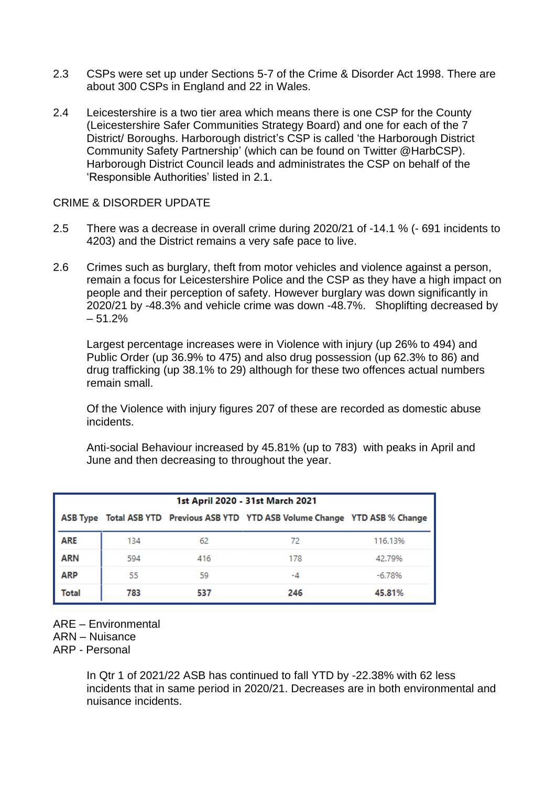- 2.3 CSPs were set up under Sections 5-7 of the Crime & Disorder Act 1998. There are about 300 CSPs in England and 22 in Wales.
- 2.4 Leicestershire is a two tier area which means there is one CSP for the County (Leicestershire Safer Communities Strategy Board) and one for each of the 7 District/ Boroughs. Harborough district's CSP is called 'the Harborough District Community Safety Partnership' (which can be found on Twitter @HarbCSP). Harborough District Council leads and administrates the CSP on behalf of the 'Responsible Authorities' listed in 2.1.

### CRIME & DISORDER UPDATE

- 2.5 There was a decrease in overall crime during 2020/21 of -14.1 % (- 691 incidents to 4203) and the District remains a very safe pace to live.
- 2.6 Crimes such as burglary, theft from motor vehicles and violence against a person, remain a focus for Leicestershire Police and the CSP as they have a high impact on people and their perception of safety. However burglary was down significantly in 2020/21 by -48.3% and vehicle crime was down -48.7%. Shoplifting decreased by  $-51.2%$

Largest percentage increases were in Violence with injury (up 26% to 494) and Public Order (up 36.9% to 475) and also drug possession (up 62.3% to 86) and drug trafficking (up 38.1% to 29) although for these two offences actual numbers remain small.

Of the Violence with injury figures 207 of these are recorded as domestic abuse incidents.

Anti-social Behaviour increased by 45.81% (up to 783) with peaks in April and June and then decreasing to throughout the year.

| 1st April 2020 - 31st March 2021 |     |     |                                                                                |          |  |  |
|----------------------------------|-----|-----|--------------------------------------------------------------------------------|----------|--|--|
|                                  |     |     | ASB Type Total ASB YTD Previous ASB YTD YTD ASB Volume Change YTD ASB % Change |          |  |  |
| ARE                              | 134 | 62  | 72                                                                             | 116.13%  |  |  |
| ARN                              | 594 | 416 | 178                                                                            | 42.79%   |  |  |
| ARP                              | 55  | 59  | -4                                                                             | $-6.78%$ |  |  |
| Total                            | 783 | 537 | 246                                                                            | 45.81%   |  |  |

ARE – Environmental

ARN – Nuisance

ARP - Personal

In Qtr 1 of 2021/22 ASB has continued to fall YTD by -22.38% with 62 less incidents that in same period in 2020/21. Decreases are in both environmental and nuisance incidents.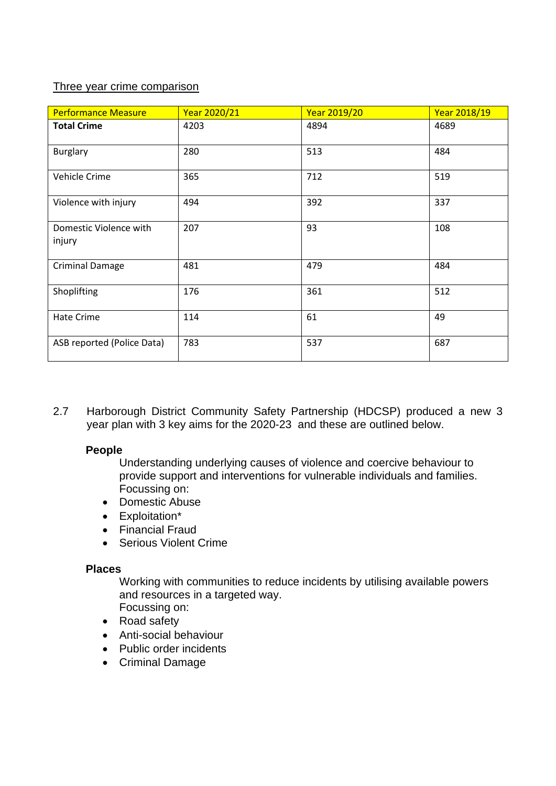## Three year crime comparison

| <b>Performance Measure</b>       | Year 2020/21 | <b>Year 2019/20</b> | Year 2018/19 |
|----------------------------------|--------------|---------------------|--------------|
| <b>Total Crime</b>               | 4203         | 4894                | 4689         |
| <b>Burglary</b>                  | 280          | 513                 | 484          |
| Vehicle Crime                    | 365          | 712                 | 519          |
| Violence with injury             | 494          | 392                 | 337          |
| Domestic Violence with<br>injury | 207          | 93                  | 108          |
| <b>Criminal Damage</b>           | 481          | 479                 | 484          |
| Shoplifting                      | 176          | 361                 | 512          |
| Hate Crime                       | 114          | 61                  | 49           |
| ASB reported (Police Data)       | 783          | 537                 | 687          |

2.7 Harborough District Community Safety Partnership (HDCSP) produced a new 3 year plan with 3 key aims for the 2020-23 and these are outlined below.

### **People**

Understanding underlying causes of violence and coercive behaviour to provide support and interventions for vulnerable individuals and families. Focussing on:

- Domestic Abuse
- Exploitation\*
- Financial Fraud
- Serious Violent Crime

### **Places**

Working with communities to reduce incidents by utilising available powers and resources in a targeted way. Focussing on:

- Road safety
- Anti-social behaviour
- Public order incidents
- Criminal Damage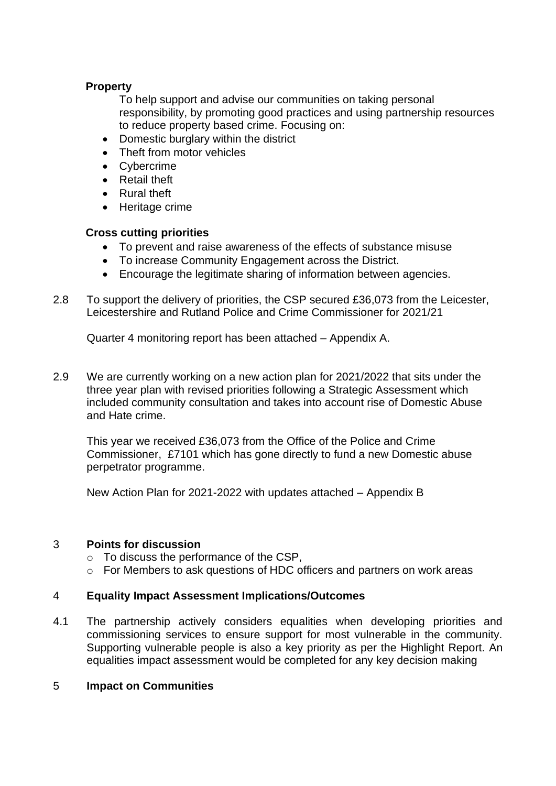## **Property**

To help support and advise our communities on taking personal responsibility, by promoting good practices and using partnership resources to reduce property based crime. Focusing on:

- Domestic burglary within the district
- Theft from motor vehicles
- Cybercrime
- Retail theft
- Rural theft
- Heritage crime

### **Cross cutting priorities**

- To prevent and raise awareness of the effects of substance misuse
- To increase Community Engagement across the District.
- Encourage the legitimate sharing of information between agencies.
- 2.8 To support the delivery of priorities, the CSP secured £36,073 from the Leicester, Leicestershire and Rutland Police and Crime Commissioner for 2021/21

Quarter 4 monitoring report has been attached – Appendix A.

2.9 We are currently working on a new action plan for 2021/2022 that sits under the three year plan with revised priorities following a Strategic Assessment which included community consultation and takes into account rise of Domestic Abuse and Hate crime.

This year we received £36,073 from the Office of the Police and Crime Commissioner, £7101 which has gone directly to fund a new Domestic abuse perpetrator programme.

New Action Plan for 2021-2022 with updates attached – Appendix B

### 3 **Points for discussion**

- o To discuss the performance of the CSP,
- o For Members to ask questions of HDC officers and partners on work areas

### 4 **Equality Impact Assessment Implications/Outcomes**

4.1 The partnership actively considers equalities when developing priorities and commissioning services to ensure support for most vulnerable in the community. Supporting vulnerable people is also a key priority as per the Highlight Report. An equalities impact assessment would be completed for any key decision making

#### 5 **Impact on Communities**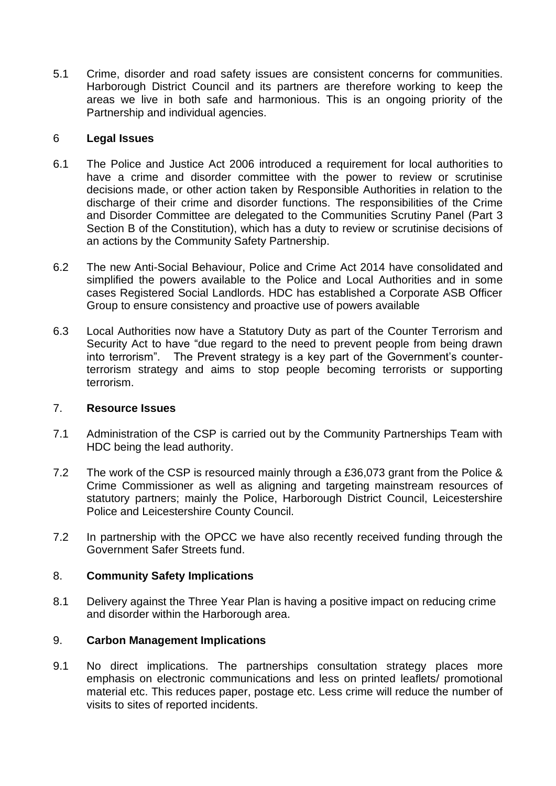5.1 Crime, disorder and road safety issues are consistent concerns for communities. Harborough District Council and its partners are therefore working to keep the areas we live in both safe and harmonious. This is an ongoing priority of the Partnership and individual agencies.

### 6 **Legal Issues**

- 6.1 The Police and Justice Act 2006 introduced a requirement for local authorities to have a crime and disorder committee with the power to review or scrutinise decisions made, or other action taken by Responsible Authorities in relation to the discharge of their crime and disorder functions. The responsibilities of the Crime and Disorder Committee are delegated to the Communities Scrutiny Panel (Part 3 Section B of the Constitution), which has a duty to review or scrutinise decisions of an actions by the Community Safety Partnership.
- 6.2 The new Anti-Social Behaviour, Police and Crime Act 2014 have consolidated and simplified the powers available to the Police and Local Authorities and in some cases Registered Social Landlords. HDC has established a Corporate ASB Officer Group to ensure consistency and proactive use of powers available
- 6.3 Local Authorities now have a Statutory Duty as part of the Counter Terrorism and Security Act to have "due regard to the need to prevent people from being drawn into terrorism". The Prevent strategy is a key part of the Government's counterterrorism strategy and aims to stop people becoming terrorists or supporting terrorism.

## 7. **Resource Issues**

- 7.1 Administration of the CSP is carried out by the Community Partnerships Team with HDC being the lead authority.
- 7.2 The work of the CSP is resourced mainly through a £36,073 grant from the Police & Crime Commissioner as well as aligning and targeting mainstream resources of statutory partners; mainly the Police, Harborough District Council, Leicestershire Police and Leicestershire County Council.
- 7.2 In partnership with the OPCC we have also recently received funding through the Government Safer Streets fund.

### 8. **Community Safety Implications**

8.1 Delivery against the Three Year Plan is having a positive impact on reducing crime and disorder within the Harborough area.

### 9. **Carbon Management Implications**

9.1 No direct implications. The partnerships consultation strategy places more emphasis on electronic communications and less on printed leaflets/ promotional material etc. This reduces paper, postage etc. Less crime will reduce the number of visits to sites of reported incidents.